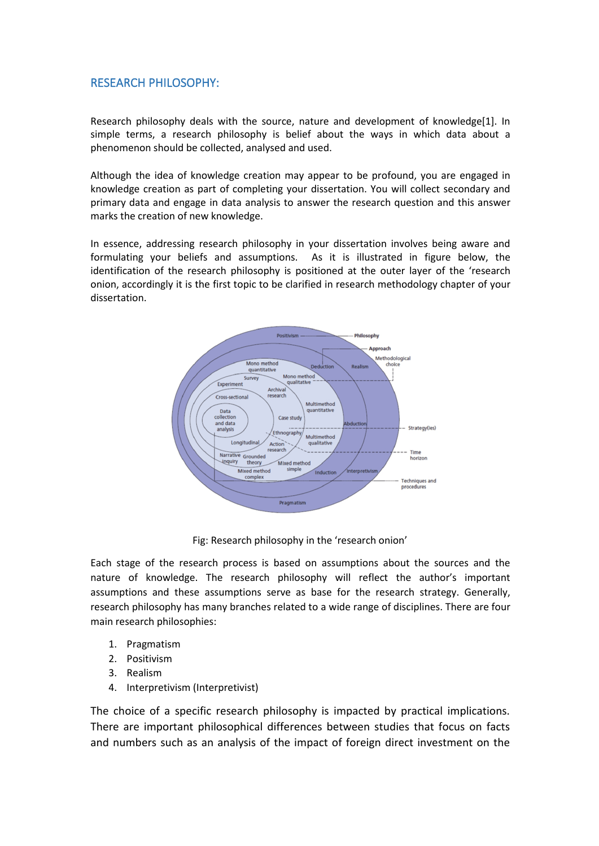## RESEARCH PHILOSOPHY:

Research philosophy deals with the source, nature and development of knowledg[e\[1\].](https://research-methodology.net/research-philosophy/) In simple terms, a research philosophy is belief about the ways in which data about a phenomenon should be collected, analysed and used.

Although the idea of knowledge creation may appear to be profound, you are engaged in knowledge creation as part of completing your dissertation. You will collect secondary and primary data and engage in data [analysis](https://research-methodology.net/research-methods/data-analysis/) to answer the research question and this answer marks the creation of new knowledge.

In essence, addressing research philosophy in your dissertation involves being aware and formulating your beliefs and assumptions. As it is illustrated in figure below, the identification of the research philosophy is positioned at the outer layer of the 'research onion, accordingly it is the first topic to be clarified in research methodology chapter of your dissertation.



Fig: Research philosophy in the 'research onion'

Each stage of the [research](https://research-methodology.net/research-methodology/research-process/) process is based on assumptions about the sources and the nature of knowledge. The research philosophy will reflect the author's important assumptions and these assumptions serve as base for the research strategy. Generally, research philosophy has many branches related to a wide range of disciplines. There are four main research philosophies:

- 1. Pragmatism
- 2. Positivism
- 3. Realism
- 4. Interpretivism (Interpretivist)

The choice of a specific research philosophy is impacted by practical implications. There are important philosophical differences between studies that focus on facts and numbers such as an analysis of the impact of foreign direct investment on the